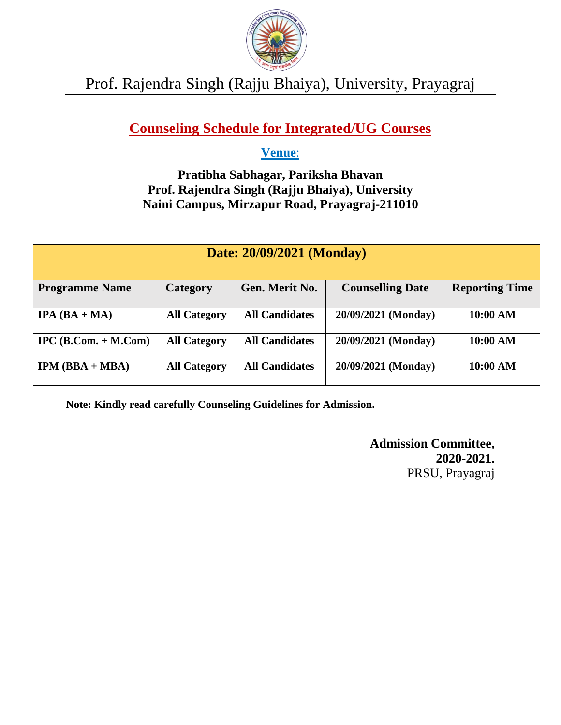

#### Prof. Rajendra Singh (Rajju Bhaiya), University, Prayagraj

#### **Counseling Schedule for Integrated/UG Courses**

#### **Venue**:

#### **Pratibha Sabhagar, Pariksha Bhavan Prof. Rajendra Singh (Rajju Bhaiya), University Naini Campus, Mirzapur Road, Prayagraj-211010**

| Date: 20/09/2021 (Monday)     |                     |                       |                         |                       |
|-------------------------------|---------------------|-----------------------|-------------------------|-----------------------|
| <b>Programme Name</b>         | <b>Category</b>     | Gen. Merit No.        | <b>Counselling Date</b> | <b>Reporting Time</b> |
| <b>IPA</b> $(BA + MA)$        | <b>All Category</b> | <b>All Candidates</b> | 20/09/2021 (Monday)     | 10:00 AM              |
| $\text{IPC}$ (B.Com. + M.Com) | <b>All Category</b> | <b>All Candidates</b> | 20/09/2021 (Monday)     | 10:00 AM              |
| $IPM (BBA + MBA)$             | <b>All Category</b> | <b>All Candidates</b> | 20/09/2021 (Monday)     | 10:00 AM              |

**Note: Kindly read carefully Counseling Guidelines for Admission.**

**Admission Committee, 2020-2021.** PRSU, Prayagraj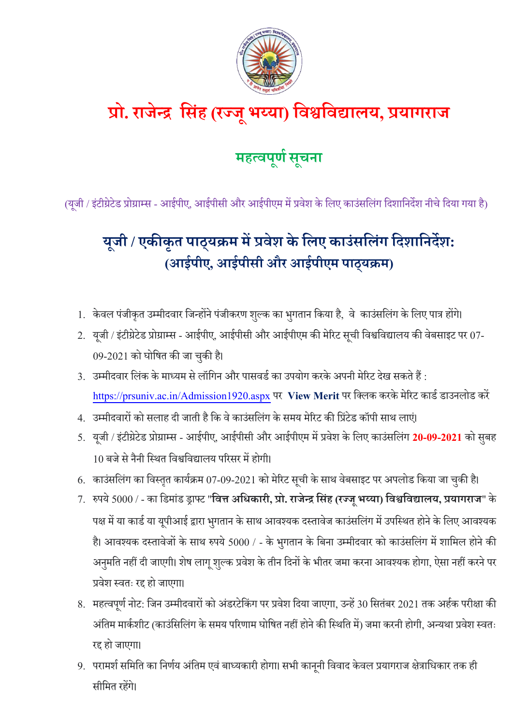

## **प्रो. राजेन्द्र स िंह (रज्ज ू भय्या) सिश्वसिद्यालय, प्रयागराज**

## **महत्िप ू र्ण ू चना**

(यूजी / इंटीग्रेटेड प्रोग्राम्स - आईपीए, आईपीसी और आईपीएम में प्रवेश के लिए काउंसलिंग दिशानिर्देश नीचे दिया गया है)

## **य ू जी / एकीक ृ त पाठ ् यक्रम मेंप्रिेश केसलए काउिं सलिंग सिशासनिेश: (आईपीए, आईपी ी और आईपीएम पाठ्यक्रम)**

- 1. केवल पंजीकृत उम्मीदवार जिन्होंने पंजीकरण शुल्क का भुगतान किया है, वे काउंसलिंग के लिए पात्र होंगे।
- 2. यूजी / इंटीग्रेटेड प्रोग्राम्स आईपीए, आईपीसी और आईपीएम की मेरिट सूची विश्वविद्यालय की वेबसाइट पर 07-09-2021 को घोलित की जा चकुी है।
- 3. उम्मीदवार लिंक के माध्यम से लॉगिन और पासवर्ड का उपयोग करके अपनी मेरिट देख सकते हैं : <https://prsuniv.ac.in/Admission1920.aspx> पर View Merit पर क्लिक करके मेरिट कार्ड डाउनलोड करें
- 4. उम्मीदवारों को सलाह दी जाती है कि वे काउंसलिंग के समय मेरिट की प्रिंटेड कॉपी साथ लाएं।
- 5. यजूी / इटं ीग्रेटेड प्रोग्राम्स आईपीए, आईपीसी और आईपीएम मेंप्रवेश केलिए काउंसलिंग **20-09-2021** को सुबह 10 बजे से नैनी स्थित विश्वविद्यालय परिसर में होगी।
- 6. काउंसलिंग का विस्तृत कार्यक्रम 07-09-2021 को मेरिट सूची के साथ वेबसाइट पर अपलोड किया जा चुकी है।
- 7. रुपये 5000 / का लडमांड ड्राफ्ट "**सित्त असिकारी, प्रो. राजेन्द्रस िंह (रज्जूभय्या) सिश्वसिद्यालय, प्रयागराज**" के पक्ष में या कार्ड या यूपीआई द्वारा भुगतान के साथ आवश्यक दस्तावेज काउंसलिंग में उपस्थित होने के लिए आवश्यक है। आवश्यक दस्तावेजों के साथ रुपये 5000 / - के भुगतान के बिना उम्मीदवार को काउंसलिंग में शामिल होने की अनुमति नहीं दी जाएगी। शेष लागू शुल्क प्रवेश के तीन दिनों के भीतर जमा करना आवश्यक होगा, ऐसा नहीं करने पर प्रवेश थवतः रद्द हो जाएगा।
- 8. महत्वपूर्ण नोट: जिन उम्मीदवारों को अंडरटेकिंग पर प्रवेश दिया जाएगा, उन्हें 30 सितंबर 2021 तक अर्हक परीक्षा की अंतिम मार्कशीट (काउंसिलिंग के समय परिणाम घोषित नहीं होने की स्थिति में) जमा करनी होगी, अन्यथा प्रवेश स्वतः रद्द हो जाएगा।
- 9. परामर्श समिति का निर्णय अंतिम एवं बाध्यकारी होगा। सभी कानूनी विवाद केवल प्रयागराज क्षेत्राधिकार तक ही सीलमत रहेंगे।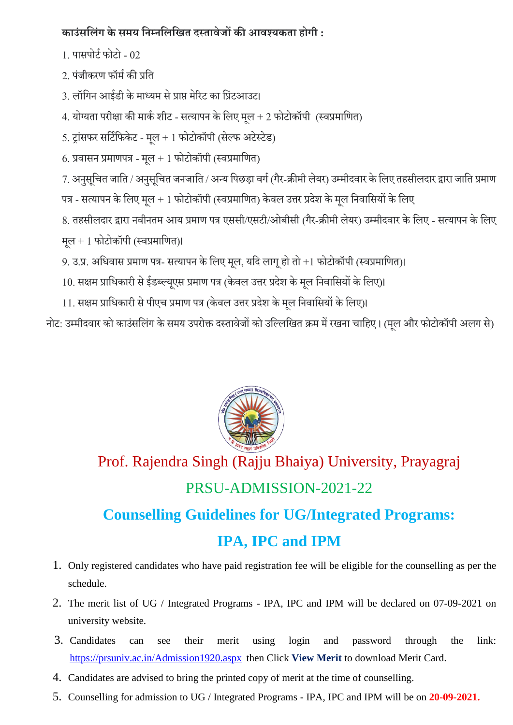#### **काउिं सलिंग के मय सनम्नसलसित िस्तािेजों की आिश्यकता होगी :**

- 1. पासपोर्ट फोटो 02
- 2. पंजीकरण फॉमडकी प्रलत
- 3. लॉगिन आईडी के माध्यम से प्राप्त मेरिट का प्रिंटआउट।
- 4. योग्यता परीक्षा की मार्क शीट सत्यापन के लिए मूल + 2 फोटोकॉपी (स्वप्रमाणित)
- 5. ट्रांसफर सर्टिफिकेट मूल + 1 फोटोकॉपी (सेल्फ अटेस्टेड)
- 6. प्रवासन प्रमाणपत्र मुल + 1 फोटोकॉपी (स्वप्रमाणित)
- 7. अनुसूचित जाति / अनुसूचित जनजाति / अन्य पिछड़ा वर्ग (गैर-क्रीमी लेयर) उम्मीदवार के लिए तहसीलदार द्वारा जाति प्रमाण
- पत्र सत्यापन के लिए मूल + 1 फोटोकॉपी (स्वप्रमाणित) केवल उत्तर प्रदेश के मूल निवासियों के लिए
- 8. तहसीलदार द्वारा नवीनतम आय प्रमाण पत्र एससी/एसटी/ओबीसी (गैर-क्रीमी लेयर) उम्मीदवार के लिए सत्यापन के लिए
- मुल + 1 फोटोकॉपी (स्वप्रमाणित)।
- 9. उ.प्र. अधिवास प्रमाण पत्र- सत्यापन के लिए मूल, यदि लागू हो तो +1 फोटोकॉपी (स्वप्रमाणित)।
- 10. सक्षम प्राधिकारी से ईडब्ल्यूएस प्रमाण पत्र (केवल उत्तर प्रदेश के मूल निवासियों के लिए)।
- 11. सक्षम प्राधिकारी से पीएच प्रमाण पत्र (केवल उत्तर प्रदेश के मूल निवासियों के लिए)।

नोट: उम्मीदवार को काउंसलिंग के समय उपरोक्त दस्तावेजों को उल्लिखित क्रम में रखना चाहिए। (मूल और फोटोकॉपी अलग से)



# Prof. Rajendra Singh (Rajju Bhaiya) University, Prayagraj

## PRSU-ADMISSION-2021-22

### **Counselling Guidelines for UG/Integrated Programs: IPA, IPC and IPM**

- 1. Only registered candidates who have paid registration fee will be eligible for the counselling as per the schedule.
- 2. The merit list of UG / Integrated Programs IPA, IPC and IPM will be declared on 07-09-2021 on university website.
- 3. Candidates can see their merit using login and password through the link: <https://prsuniv.ac.in/Admission1920.aspx> then Click **View Merit** to download Merit Card.
- 4. Candidates are advised to bring the printed copy of merit at the time of counselling.
- 5. Counselling for admission to UG / Integrated Programs IPA, IPC and IPM will be on **20-09-2021.**